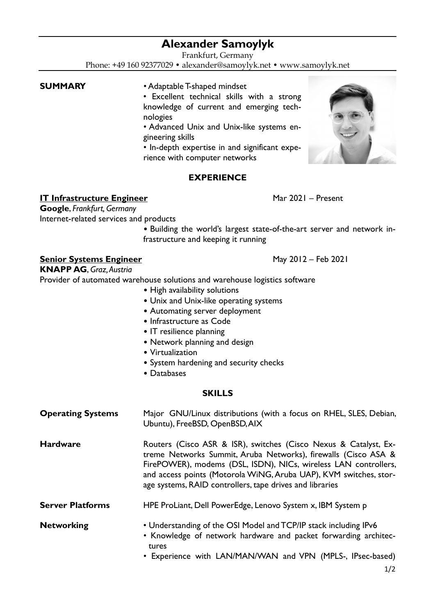# **Alexander Samoylyk**

Frankfurt, Germany

Phone: +49 160 92377029 • alexander@samoylyk.net • www.samoylyk.net

- **SUMMARY** Adaptable T-shaped mindset
	- Excellent technical skills with a strong knowledge of current and emerging technologies
	- Advanced Unix and Unix-like systems engineering skills

• In-depth expertise in and significant experience with computer networks

# **EXPERIENCE**

**IT Infrastructure Engineer** Mar 2021 – Present

**Google**, *Frankfurt, Germany*

Internet-related services and products • Building the world's largest state-of-the-art server and network infrastructure and keeping it running

**Senior Systems Engineer** May 2012 – Feb 2021

**KNAPP AG**, *Graz, Austria*

Provider of automated warehouse solutions and warehouse logistics software

- High availability solutions
- Unix and Unix-like operating systems
- Automating server deployment
- Infrastructure as Code
- IT resilience planning
- Network planning and design
- Virtualization
- System hardening and security checks
- Databases

### **SKILLS**

| <b>Operating Systems</b> | Major GNU/Linux distributions (with a focus on RHEL, SLES, Debian,<br>Ubuntu), FreeBSD, OpenBSD, AIX                                                                                                                                                                                                                                   |
|--------------------------|----------------------------------------------------------------------------------------------------------------------------------------------------------------------------------------------------------------------------------------------------------------------------------------------------------------------------------------|
| <b>Hardware</b>          | Routers (Cisco ASR & ISR), switches (Cisco Nexus & Catalyst, Ex-<br>treme Networks Summit, Aruba Networks), firewalls (Cisco ASA &<br>FirePOWER), modems (DSL, ISDN), NICs, wireless LAN controllers,<br>and access points (Motorola WiNG, Aruba UAP), KVM switches, stor-<br>age systems, RAID controllers, tape drives and libraries |
| <b>Server Platforms</b>  | HPE ProLiant, Dell PowerEdge, Lenovo System x, IBM System p                                                                                                                                                                                                                                                                            |
| <b>Networking</b>        | • Understanding of the OSI Model and TCP/IP stack including IPv6<br>• Knowledge of network hardware and packet forwarding architec-<br>tures<br>• Experience with LAN/MAN/WAN and VPN (MPLS-, IPsec-based)                                                                                                                             |